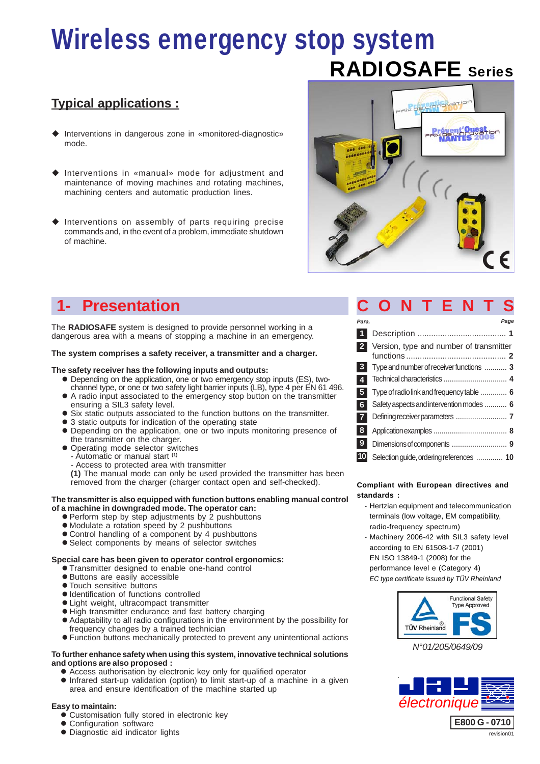# RADIOSAFE Series Wireless emergency stop system

### **Typical applications :**

- Interventions in dangerous zone in «monitored-diagnostic» mode.
- Interventions in «manual» mode for adjustment and maintenance of moving machines and rotating machines, machining centers and automatic production lines.
- $\blacklozenge$  Interventions on assembly of parts requiring precise commands and, in the event of a problem, immediate shutdown of machine.



### **1- Presentation CONTENTS**

The **RADIOSAFE** system is designed to provide personnel working in a dangerous area with a means of stopping a machine in an emergency.

#### **The system comprises a safety receiver, a transmitter and a charger.**

#### **The safety receiver has the following inputs and outputs:**

- Depending on the application, one or two emergency stop inputs (ES), twochannel type, or one or two safety light barrier inputs (LB), type 4 per EN 61 496.
- A radio input associated to the emergency stop button on the transmitter ensuring a SIL3 safety level.
- Six static outputs associated to the function buttons on the transmitter.
- 3 static outputs for indication of the operating state
- Depending on the application, one or two inputs monitoring presence of the transmitter on the charger.
- Operating mode selector switches
- Automatic or manual start **(1)**
- Access to protected area with transmitter

**(1)** The manual mode can only be used provided the transmitter has been removed from the charger (charger contact open and self-checked).

#### **The transmitter is also equipped with function buttons enabling manual control of a machine in downgraded mode. The operator can:**

- Perform step by step adjustments by 2 pushbuttons
- Modulate a rotation speed by 2 pushbuttons
- Control handling of a component by 4 pushbuttons
- Select components by means of selector switches

#### **Special care has been given to operator control ergonomics:**

- Transmitter designed to enable one-hand control
- Buttons are easily accessible
- Touch sensitive buttons
- Identification of functions controlled
- Light weight, ultracompact transmitter
- $\bullet$  High transmitter endurance and fast battery charging
- Adaptability to all radio configurations in the environment by the possibility for frequency changes by a trained technician
- Function buttons mechanically protected to prevent any unintentional actions

#### **To further enhance safety when using this system, innovative technical solutions and options are also proposed :**

- Access authorisation by electronic key only for qualified operator
- Infrared start-up validation (option) to limit start-up of a machine in a given area and ensure identification of the machine started up

#### **Easy to maintain:**

- Customisation fully stored in electronic key
- Configuration software
- $\bullet$  Diagnostic aid indicator lights

| Para.                   |                                           | Page |
|-------------------------|-------------------------------------------|------|
| 1                       |                                           |      |
| $\overline{2}$          | Version, type and number of transmitter   |      |
| 3 <sup>1</sup>          | Type and number of receiver functions  3  |      |
| $\overline{4}$          |                                           |      |
| $\overline{\mathbf{5}}$ | Type of radio link and frequency table  6 |      |
| 6                       | Safety aspects and intervention modes  6  |      |
| $\overline{7}$          |                                           |      |
| 8                       |                                           |      |
| $9^{\circ}$             |                                           |      |
| 10                      | Selection guide, ordering references  10  |      |

#### **Compliant with European directives and standards :**

- Hertzian equipment and telecommunication terminals (low voltage, EM compatibility, radio-frequency spectrum)
- Machinery 2006-42 with SIL3 safety level according to EN 61508-1-7 (2001) EN ISO 13849-1 (2008) for the performance level e (Category 4)

*EC type certificate issued by TÜV Rheinland*



*N°01/205/0649/09*

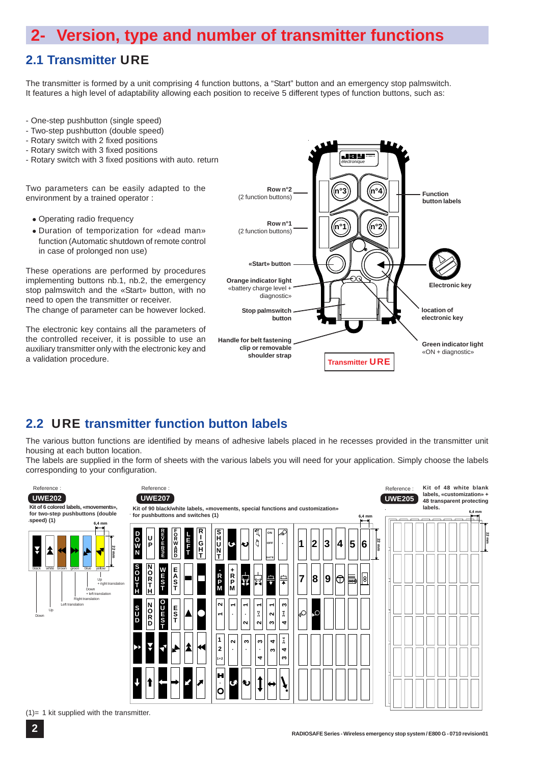### **2- Version, type and number of transmitter functions**

### **2.1 Transmitter** URE

The transmitter is formed by a unit comprising 4 function buttons, a "Start" button and an emergency stop palmswitch. It features a high level of adaptability allowing each position to receive 5 different types of function buttons, such as:

- One-step pushbutton (single speed)
- Two-step pushbutton (double speed)
- Rotary switch with 2 fixed positions
- Rotary switch with 3 fixed positions
- Rotary switch with 3 fixed positions with auto. return

Two parameters can be easily adapted to the environment by a trained operator :

- Operating radio frequency
- Duration of temporization for «dead man» function (Automatic shutdown of remote control in case of prolonged non use)

These operations are performed by procedures implementing buttons nb.1, nb.2, the emergency stop palmswitch and the «Start» button, with no need to open the transmitter or receiver. The change of parameter can be however locked.

The electronic key contains all the parameters of the controlled receiver, it is possible to use an auxiliary transmitter only with the electronic key and



### **2.2** URE **transmitter function button labels**

The various button functions are identified by means of adhesive labels placed in he recesses provided in the transmitter unit housing at each button location.

The labels are supplied in the form of sheets with the various labels you will need for your application. Simply choose the labels corresponding to your configuration.

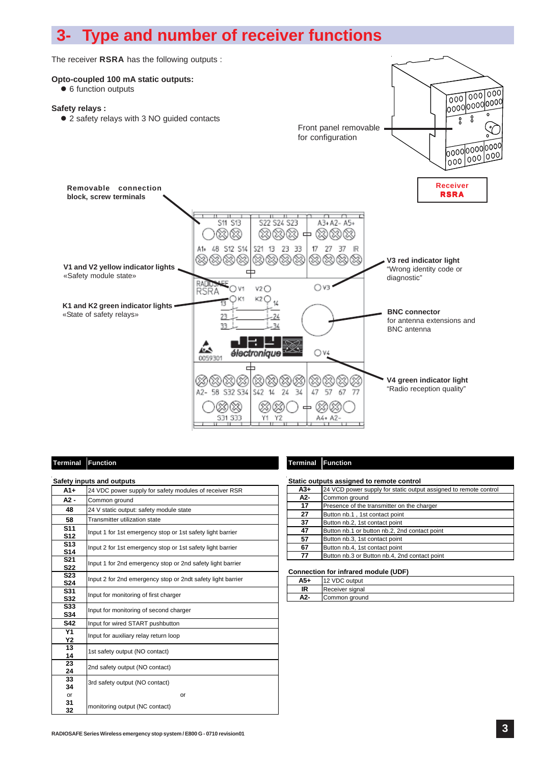## **3- Type and number of receiver functions**



#### **Terminal Function Terminal Function**

|                                    | <b>Safety inputs and outputs</b>                            |
|------------------------------------|-------------------------------------------------------------|
| $A1+$                              | 24 VDC power supply for safety modules of receiver RSR      |
| A2 -                               | Common ground                                               |
| 48                                 | 24 V static output: safety module state                     |
| 58                                 | <b>Transmitter utilization state</b>                        |
| S <sub>11</sub><br>S <sub>12</sub> | Input 1 for 1st emergency stop or 1st safety light barrier  |
| S <sub>13</sub><br><b>S14</b>      | Input 2 for 1st emergency stop or 1st safety light barrier  |
| S <sub>21</sub><br><b>S22</b>      | Input 1 for 2nd emergency stop or 2nd safety light barrier  |
| S <sub>23</sub><br><b>S24</b>      | Input 2 for 2nd emergency stop or 2ndt safety light barrier |
| S31<br>S32                         | Input for monitoring of first charger                       |
| S33<br>S34                         | Input for monitoring of second charger                      |
| S42                                | Input for wired START pushbutton                            |
| <b>Y1</b><br>Υ2                    | Input for auxiliary relay return loop                       |
| 13<br>14                           | 1st safety output (NO contact)                              |
| 23<br>24                           | 2nd safety output (NO contact)                              |
| 33<br>34                           | 3rd safety output (NO contact)                              |
| or                                 | or                                                          |
| 31<br>32                           | monitoring output (NC contact)                              |

| Static outputs assigned to remote control |                                                                  |  |  |  |  |  |  |  |
|-------------------------------------------|------------------------------------------------------------------|--|--|--|--|--|--|--|
| A3+                                       | 24 VCD power supply for static output assigned to remote control |  |  |  |  |  |  |  |
| A2-                                       | Common ground                                                    |  |  |  |  |  |  |  |
| 17                                        | Presence of the transmitter on the charger                       |  |  |  |  |  |  |  |
| 27                                        | Button nb.1, 1st contact point                                   |  |  |  |  |  |  |  |
| 37                                        | Button nb.2, 1st contact point                                   |  |  |  |  |  |  |  |
| 47                                        | Button nb.1 or button nb.2, 2nd contact point                    |  |  |  |  |  |  |  |
| 57                                        | Button nb.3, 1st contact point                                   |  |  |  |  |  |  |  |
| 67                                        | Button nb.4, 1st contact point                                   |  |  |  |  |  |  |  |
| 77                                        | Button nb.3 or Button nb.4, 2nd contact point                    |  |  |  |  |  |  |  |
|                                           |                                                                  |  |  |  |  |  |  |  |

#### **Connection for infrared module (UDF)**

| A5+ | 12 VDC output   |
|-----|-----------------|
| ΙR  | Receiver signal |
| A2- | Common ground   |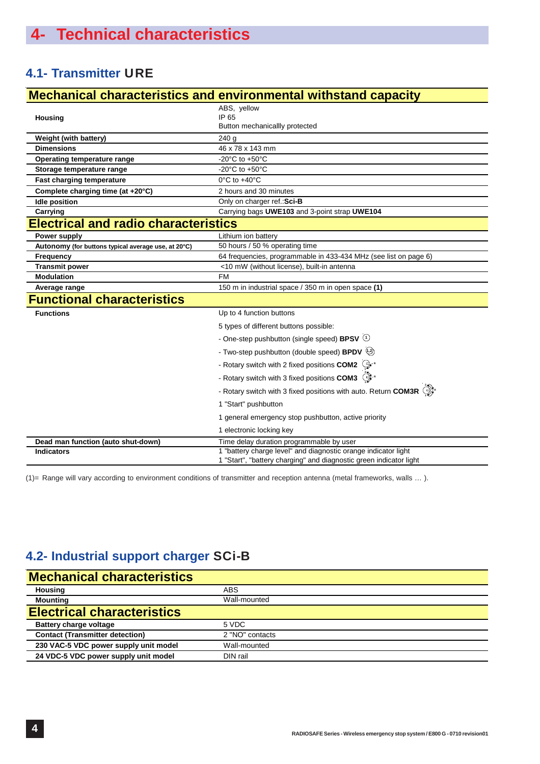### **4.1- Transmitter** URE

|                                                     | <b>Mechanical characteristics and environmental withstand capacity</b>                                                               |
|-----------------------------------------------------|--------------------------------------------------------------------------------------------------------------------------------------|
|                                                     | ABS, yellow                                                                                                                          |
| Housing                                             | IP 65                                                                                                                                |
|                                                     | Button mechanicallly protected                                                                                                       |
| Weight (with battery)                               | 240 g                                                                                                                                |
| <b>Dimensions</b>                                   | 46 x 78 x 143 mm                                                                                                                     |
| Operating temperature range                         | -20 $^{\circ}$ C to +50 $^{\circ}$ C                                                                                                 |
| Storage temperature range                           | -20 $\mathrm{^{\circ}C}$ to +50 $\mathrm{^{\circ}C}$                                                                                 |
| Fast charging temperature                           | $0^{\circ}$ C to $+40^{\circ}$ C                                                                                                     |
| Complete charging time (at +20°C)                   | 2 hours and 30 minutes                                                                                                               |
| <b>Idle position</b>                                | Only on charger ref.: Sci-B                                                                                                          |
| Carrying                                            | Carrying bags UWE103 and 3-point strap UWE104                                                                                        |
| <b>Electrical and radio characteristics</b>         |                                                                                                                                      |
| Power supply                                        | Lithium ion battery                                                                                                                  |
| Autonomy (for buttons typical average use, at 20°C) | 50 hours / 50 % operating time                                                                                                       |
| <b>Frequency</b>                                    | 64 frequencies, programmable in 433-434 MHz (see list on page 6)                                                                     |
| <b>Transmit power</b>                               | <10 mW (without license), built-in antenna                                                                                           |
| <b>Modulation</b>                                   | <b>FM</b>                                                                                                                            |
| Average range                                       | 150 m in industrial space / 350 m in open space (1)                                                                                  |
| <b>Functional characteristics</b>                   |                                                                                                                                      |
| <b>Functions</b>                                    | Up to 4 function buttons                                                                                                             |
|                                                     | 5 types of different buttons possible:                                                                                               |
|                                                     | - One-step pushbutton (single speed) BPSV $\circlearrowleft$                                                                         |
|                                                     | - Two-step pushbutton (double speed) BPDV (12)                                                                                       |
|                                                     | - Rotary switch with 2 fixed positions COM2 <a></a>                                                                                  |
|                                                     | - Rotary switch with 3 fixed positions COM3 <a></a>                                                                                  |
|                                                     | - Rotary switch with 3 fixed positions with auto. Return COM3R $\bigcirc \mathbb{X}^*$                                               |
|                                                     | 1 "Start" pushbutton                                                                                                                 |
|                                                     | 1 general emergency stop pushbutton, active priority                                                                                 |
|                                                     | 1 electronic locking key                                                                                                             |
| Dead man function (auto shut-down)                  | Time delay duration programmable by user                                                                                             |
| <b>Indicators</b>                                   | 1 "battery charge level" and diagnostic orange indicator light<br>1 "Start", "battery charging" and diagnostic green indicator light |

(1)= Range will vary according to environment conditions of transmitter and reception antenna (metal frameworks, walls … ).

### **4.2- Industrial support charger** SCi-B

| <b>Mechanical characteristics</b>      |                 |  |  |  |  |  |
|----------------------------------------|-----------------|--|--|--|--|--|
| <b>Housing</b>                         | <b>ABS</b>      |  |  |  |  |  |
| <b>Mounting</b>                        | Wall-mounted    |  |  |  |  |  |
| <b>Electrical characteristics</b>      |                 |  |  |  |  |  |
| <b>Battery charge voltage</b>          | 5 VDC           |  |  |  |  |  |
| <b>Contact (Transmitter detection)</b> | 2 "NO" contacts |  |  |  |  |  |
| 230 VAC-5 VDC power supply unit model  | Wall-mounted    |  |  |  |  |  |
| 24 VDC-5 VDC power supply unit model   | DIN rail        |  |  |  |  |  |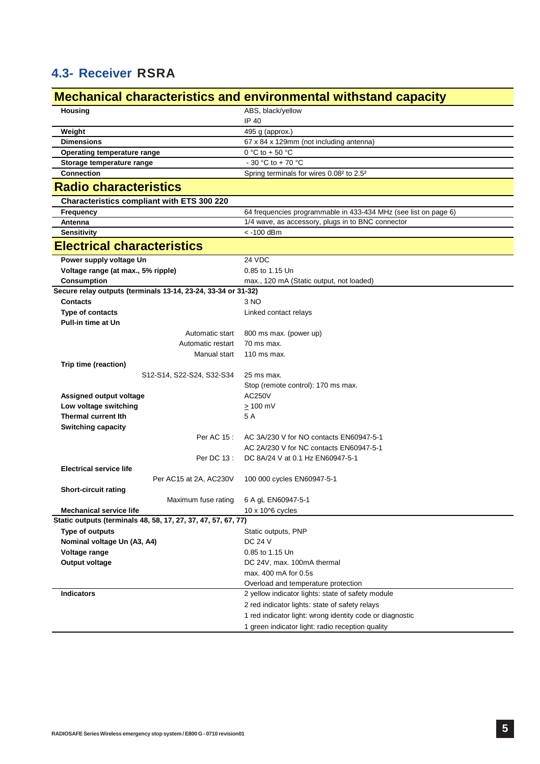### **4.3- Receiver** RSRA

### **Mechanical characteristics and environmental withstand capacity**

| <b>Housing</b>                                                | ABS, black/yellow                                                |
|---------------------------------------------------------------|------------------------------------------------------------------|
|                                                               | IP 40                                                            |
| Weight                                                        | 495 g (approx.)                                                  |
| <b>Dimensions</b>                                             | 67 x 84 x 129mm (not including antenna)                          |
| Operating temperature range                                   | $0 °C$ to + 50 $°C$                                              |
| Storage temperature range                                     | - 30 °C to + 70 °C                                               |
| <b>Connection</b>                                             | Spring terminals for wires 0.08 <sup>2</sup> to 2.5 <sup>2</sup> |
| <b>Radio characteristics</b>                                  |                                                                  |
| Characteristics compliant with ETS 300 220                    |                                                                  |
| Frequency                                                     | 64 frequencies programmable in 433-434 MHz (see list on page 6)  |
| Antenna                                                       | 1/4 wave, as accessory, plugs in to BNC connector                |
| <b>Sensitivity</b>                                            | < -100 dBm                                                       |
| <b>Electrical characteristics</b>                             |                                                                  |
| Power supply voltage Un                                       | 24 VDC                                                           |
| Voltage range (at max., 5% ripple)                            | 0.85 to 1.15 Un                                                  |
| Consumption                                                   | max., 120 mA (Static output, not loaded)                         |
| Secure relay outputs (terminals 13-14, 23-24, 33-34 or 31-32) |                                                                  |
| Contacts                                                      | 3 NO                                                             |
| Type of contacts                                              | Linked contact relays                                            |
| <b>Pull-in time at Un</b>                                     |                                                                  |
| Automatic start                                               | 800 ms max. (power up)                                           |
| Automatic restart                                             | 70 ms max.                                                       |
| Manual start                                                  | $110$ ms max.                                                    |
| Trip time (reaction)                                          |                                                                  |
| S12-S14, S22-S24, S32-S34                                     | 25 ms max.                                                       |
|                                                               | Stop (remote control): 170 ms max.                               |
| Assigned output voltage                                       | <b>AC250V</b>                                                    |
| Low voltage switching                                         | $\geq 100$ mV                                                    |
| <b>Thermal current lth</b>                                    | 5 A                                                              |
| <b>Switching capacity</b>                                     |                                                                  |
| Per AC 15 :                                                   | AC 3A/230 V for NO contacts EN60947-5-1                          |
|                                                               | AC 2A/230 V for NC contacts EN60947-5-1                          |
| Per DC 13 :                                                   | DC 8A/24 V at 0.1 Hz EN60947-5-1                                 |
| <b>Electrical service life</b>                                |                                                                  |
| Per AC15 at 2A, AC230V                                        | 100 000 cycles EN60947-5-1                                       |
| <b>Short-circuit rating</b>                                   |                                                                  |
| Maximum fuse rating                                           | 6 A gL EN60947-5-1                                               |
| <b>Mechanical service life</b>                                | 10 x 10^6 cycles                                                 |
| Static outputs (terminals 48, 58, 17, 27, 37, 47, 57, 67, 77) |                                                                  |
| Type of outputs<br>Nominal voltage Un (A3, A4)                | Static outputs, PNP<br><b>DC 24 V</b>                            |
| Voltage range                                                 | 0.85 to 1.15 Un                                                  |
| Output voltage                                                | DC 24V, max. 100mA thermal                                       |
|                                                               | max. 400 mA for 0.5s                                             |
|                                                               | Overload and temperature protection                              |
| <b>Indicators</b>                                             | 2 yellow indicator lights: state of safety module                |
|                                                               | 2 red indicator lights: state of safety relays                   |
|                                                               | 1 red indicator light: wrong identity code or diagnostic         |
|                                                               |                                                                  |
|                                                               | 1 green indicator light: radio reception quality                 |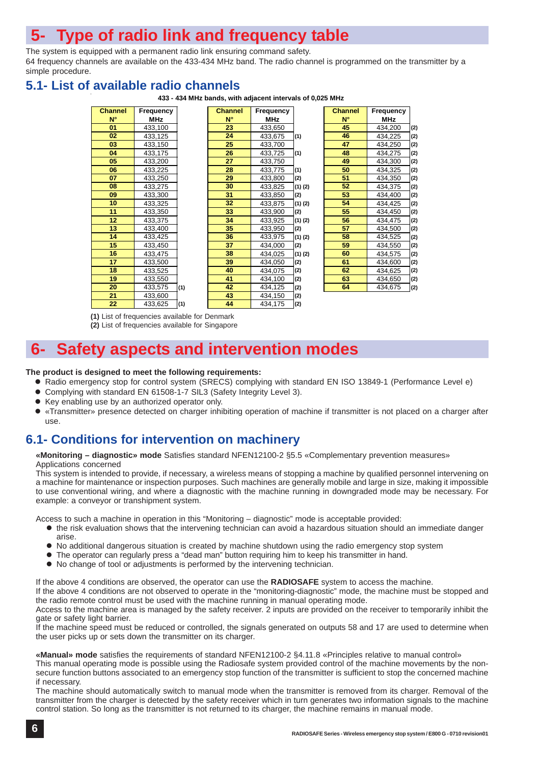## **5- Type of radio link and frequency table**

The system is equipped with a permanent radio link ensuring command safety. 64 frequency channels are available on the 433-434 MHz band. The radio channel is programmed on the transmitter by a simple procedure.

### **5.1- List of available radio channels**

**433 - 434 MHz bands, with adjacent intervals of 0,025 MHz**

| <b>Channel</b> | Frequency  |     | <b>Channel</b> | Frequency  |     |
|----------------|------------|-----|----------------|------------|-----|
| $N^{\circ}$    | <b>MHz</b> |     | $N^{\circ}$    | <b>MHz</b> |     |
| 01             | 433,100    |     | 23             | 433,650    |     |
| 02             | 433,125    |     | 24             | 433,675    | (1) |
| 03             | 433,150    |     | 25             | 433,700    |     |
| 04             | 433,175    |     | 26             | 433,725    | (1) |
| 05             | 433,200    |     | 27             | 433,750    |     |
| 06             | 433,225    |     | 28             | 433,775    | (1) |
| 07             | 433,250    |     | 29             | 433,800    | (2) |
| 08             | 433,275    |     | 30             | 433,825    | (1) |
| 09             | 433,300    |     | 31             | 433,850    | (2) |
| 10             | 433,325    |     | 32             | 433,875    | (1) |
| 11             | 433,350    |     | 33             | 433,900    | (2) |
| 12             | 433,375    |     | 34             | 433,925    | (1) |
| 13             | 433,400    |     | 35             | 433,950    | (2) |
| 14             | 433,425    |     | 36             | 433,975    | (1) |
| 15             | 433,450    |     | 37             | 434,000    | (2) |
| 16             | 433,475    |     | 38             | 434,025    | (1) |
| 17             | 433,500    |     | 39             | 434,050    | (2) |
| 18             | 433,525    |     | 40             | 434,075    | (2) |
| 19             | 433,550    |     | 41             | 434,100    | (2) |
| 20             | 433,575    | (1) | 42             | 434,125    | (2) |
| 21             | 433,600    |     | 43             | 434,150    | (2) |
| 22             | 433,625    | (1) | 44             | 434,175    | (2) |

| annel | Frequency  |     | <b>Channel</b> | Frequency  |             |
|-------|------------|-----|----------------|------------|-------------|
| N۴    | <b>MHz</b> |     | $N^{\circ}$    | <b>MHz</b> |             |
| 01    | 433,100    |     | 23             | 433,650    |             |
| 02    | 433,125    |     | 24             | 433,675    | (1)         |
| 03    | 433,150    |     | 25             | 433,700    |             |
| 04    | 433,175    |     | 26             | 433,725    | (1)         |
| 05    | 433,200    |     | 27             | 433,750    |             |
| 06    | 433,225    |     | 28             | 433,775    | (1)         |
| 07    | 433,250    |     | 29             | 433,800    | (2)         |
| 80    | 433,275    |     | 30             | 433,825    | $(1)$ $(2)$ |
| 09    | 433,300    |     | 31             | 433,850    | (2)         |
| 10    | 433,325    |     | 32             | 433,875    | $(1)$ $(2)$ |
| 11    | 433,350    |     | 33             | 433,900    | (2)         |
| 12    | 433,375    |     | 34             | 433,925    | (1)(        |
| 13    | 433,400    |     | 35             | 433,950    | (2)         |
| 14    | 433,425    |     | 36             | 433,975    | (1)(        |
| 15    | 433,450    |     | 37             | 434,000    | (2)         |
| 16    | 433,475    |     | 38             | 434,025    | $(1)$ $($   |
| 17    | 433,500    |     | 39             | 434,050    | (2)         |
| 18    | 433,525    |     | 40             | 434,075    | (2)         |
| 19    | 433,550    |     | 41             | 434,100    | (2)         |
| 20    | 433,575    | (1) | 42             | 434,125    | (2)         |
| 21    | 433,600    |     | 43             | 434,150    | (2)         |
| 22    | 433.625    | (1) | 44             | 434 175    | lω          |

| annel | Frequency  |     | <b>Channel</b> | Frequency  |             | <b>Channel</b> | Frequency  |     |
|-------|------------|-----|----------------|------------|-------------|----------------|------------|-----|
| N۴    | <b>MHz</b> |     | $N^{\circ}$    | <b>MHz</b> |             | $N^{\circ}$    | <b>MHz</b> |     |
| 01    | 433,100    |     | 23             | 433,650    |             | 45             | 434,200    | (2) |
| 02    | 433,125    |     | 24             | 433,675    | (1)         | 46             | 434,225    | (2) |
| 03    | 433,150    |     | 25             | 433,700    |             | 47             | 434,250    | (2) |
| 04    | 433,175    |     | 26             | 433,725    | (1)         | 48             | 434,275    | (2) |
| 05    | 433,200    |     | 27             | 433,750    |             | 49             | 434,300    | (2) |
| 06    | 433,225    |     | 28             | 433,775    | (1)         | 50             | 434,325    | (2) |
| 07    | 433,250    |     | 29             | 433,800    | (2)         | 51             | 434,350    | (2) |
| 80    | 433.275    |     | 30             | 433,825    | $(1)$ $(2)$ | 52             | 434,375    | (2) |
| 09    | 433,300    |     | 31             | 433,850    | (2)         | 53             | 434,400    | (2) |
| 10    | 433,325    |     | 32             | 433,875    | $(1)$ $(2)$ | 54             | 434,425    | (2) |
| 11    | 433,350    |     | 33             | 433,900    | (2)         | 55             | 434,450    | (2) |
| 12    | 433,375    |     | 34             | 433,925    | $(1)$ $(2)$ | 56             | 434,475    | (2) |
| 13    | 433,400    |     | 35             | 433,950    | (2)         | 57             | 434,500    | (2) |
| 14    | 433,425    |     | 36             | 433,975    | $(1)$ $(2)$ | 58             | 434,525    | (2) |
| 15    | 433,450    |     | 37             | 434,000    | (2)         | 59             | 434,550    | (2) |
| 16    | 433,475    |     | 38             | 434,025    | $(1)$ $(2)$ | 60             | 434,575    | (2) |
| 17    | 433,500    |     | 39             | 434,050    | (2)         | 61             | 434,600    | (2) |
| 18    | 433,525    |     | 40             | 434,075    | (2)         | 62             | 434,625    | (2) |
| 19    | 433,550    |     | 41             | 434,100    | (2)         | 63             | 434,650    | (2) |
| 20    | 433,575    | (1) | 42             | 434,125    | (2)         | 64             | 434,675    | (2) |

**(1)** List of frequencies available for Denmark **(2)** List of frequencies available for Singapore

### **6- Safety aspects and intervention modes**

#### **The product is designed to meet the following requirements:**

- Radio emergency stop for control system (SRECS) complying with standard EN ISO 13849-1 (Performance Level e)
- Complying with standard EN 61508-1-7 SIL3 (Safety Integrity Level 3).
- Key enabling use by an authorized operator only.
- «Transmitter» presence detected on charger inhibiting operation of machine if transmitter is not placed on a charger after use.

### **6.1- Conditions for intervention on machinery**

**«Monitoring – diagnostic» mode** Satisfies standard NFEN12100-2 §5.5 «Complementary prevention measures» Applications concerned

This system is intended to provide, if necessary, a wireless means of stopping a machine by qualified personnel intervening on a machine for maintenance or inspection purposes. Such machines are generally mobile and large in size, making it impossible to use conventional wiring, and where a diagnostic with the machine running in downgraded mode may be necessary. For example: a conveyor or transhipment system.

Access to such a machine in operation in this "Monitoring – diagnostic" mode is acceptable provided:

- the risk evaluation shows that the intervening technician can avoid a hazardous situation should an immediate danger arise.
- No additional dangerous situation is created by machine shutdown using the radio emergency stop system
- The operator can regularly press a "dead man" button requiring him to keep his transmitter in hand.
- No change of tool or adjustments is performed by the intervening technician.

If the above 4 conditions are observed, the operator can use the **RADIOSAFE** system to access the machine.

If the above 4 conditions are not observed to operate in the "monitoring-diagnostic" mode, the machine must be stopped and the radio remote control must be used with the machine running in manual operating mode.

Access to the machine area is managed by the safety receiver. 2 inputs are provided on the receiver to temporarily inhibit the gate or safety light barrier.

If the machine speed must be reduced or controlled, the signals generated on outputs 58 and 17 are used to determine when the user picks up or sets down the transmitter on its charger.

**«Manual» mode** satisfies the requirements of standard NFEN12100-2 §4.11.8 «Principles relative to manual control»

This manual operating mode is possible using the Radiosafe system provided control of the machine movements by the nonsecure function buttons associated to an emergency stop function of the transmitter is sufficient to stop the concerned machine if necessary.

The machine should automatically switch to manual mode when the transmitter is removed from its charger. Removal of the transmitter from the charger is detected by the safety receiver which in turn generates two information signals to the machine control station. So long as the transmitter is not returned to its charger, the machine remains in manual mode.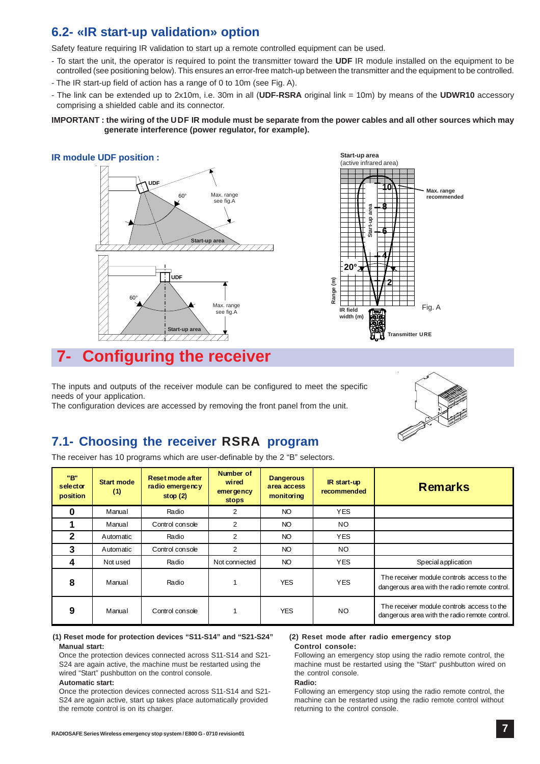### **6.2- «IR start-up validation» option**

Safety feature requiring IR validation to start up a remote controlled equipment can be used.

- To start the unit, the operator is required to point the transmitter toward the **UDF** IR module installed on the equipment to be controlled (see positioning below). This ensures an error-free match-up between the transmitter and the equipment to be controlled.
- The IR start-up field of action has a range of 0 to 10m (see Fig. A).
- The link can be extended up to 2x10m, i.e. 30m in all (**UDF-RSRA** original link = 10m) by means of the **UDWR10** accessory comprising a shielded cable and its connector.

#### **IMPORTANT : the wiring of the** UDF **IR module must be separate from the power cables and all other sources which may generate interference (power regulator, for example).**

#### **IR module UDF position :**





### **7- Configuring the receiver**

The inputs and outputs of the receiver module can be configured to meet the specific needs of your application.

The configuration devices are accessed by removing the front panel from the unit.



### **7.1- Choosing the receiver** RSRA **program**

The receiver has 10 programs which are user-definable by the 2 "B" selectors.

| "B"<br>selector<br>position | <b>Start mode</b><br>(1) | Reset mode after<br>radio emergency<br>stop $(2)$ | Number of<br>wired<br>emer gency<br><b>stops</b> | <b>Dangerous</b><br>area access<br>monitoring | IR start-up<br>recommended | <b>Remarks</b>                                                                              |
|-----------------------------|--------------------------|---------------------------------------------------|--------------------------------------------------|-----------------------------------------------|----------------------------|---------------------------------------------------------------------------------------------|
| ŋ                           | Manual                   | Radio                                             | 2                                                | NO                                            | <b>YES</b>                 |                                                                                             |
|                             | Manual                   | Control console                                   | 2                                                | <b>NO</b>                                     | NO.                        |                                                                                             |
| $\mathbf 2$                 | Automatic                | Radio                                             | 2                                                | NO                                            | <b>YES</b>                 |                                                                                             |
| 3                           | Automatic                | Control console                                   | 2                                                | NO                                            | NO.                        |                                                                                             |
| 4                           | Not used                 | Radio                                             | Not connected                                    | NO                                            | <b>YES</b>                 | Special application                                                                         |
| 8                           | Manual                   | Radio                                             |                                                  | <b>YES</b>                                    | <b>YES</b>                 | The receiver module controls access to the<br>dangerous area with the radio remote control. |
| 9                           | Manual                   | Control console                                   |                                                  | <b>YES</b>                                    | NO.                        | The receiver module controls access to the<br>dangerous area with the radio remote control. |

#### **(1) Reset mode for protection devices "S11-S14" and "S21-S24" Manual start:**

Once the protection devices connected across S11-S14 and S21- S24 are again active, the machine must be restarted using the wired "Start" pushbutton on the control console.

#### **Automatic start:**

Once the protection devices connected across S11-S14 and S21- S24 are again active, start up takes place automatically provided the remote control is on its charger.

#### **(2) Reset mode after radio emergency stop Control console:**

Following an emergency stop using the radio remote control, the machine must be restarted using the "Start" pushbutton wired on the control console.

#### **Radio:**

Following an emergency stop using the radio remote control, the machine can be restarted using the radio remote control without returning to the control console.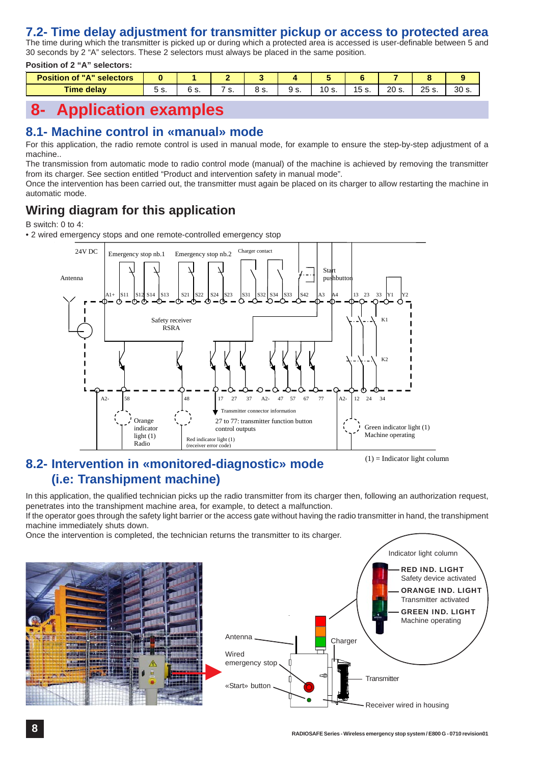### **7.2- Time delay adjustment for transmitter pickup or access to protected area**

The time during which the transmitter is picked up or during which a protected area is accessed is user-definable between 5 and 30 seconds by 2 "A" selectors. These 2 selectors must always be placed in the same position.

**Position of 2 "A" selectors:**

| <b>Position of "A" selectors</b> |    |                                 |    |         |      |       |                        |       |                |                 |
|----------------------------------|----|---------------------------------|----|---------|------|-------|------------------------|-------|----------------|-----------------|
| <b>Time delay</b>                | ິ. | $\overline{a}$<br>o.<br>$\cdot$ | J. | ດ<br>υ. | .ت ت | 10 s. | . –<br>1 L<br>ັບ<br>.ت | 20 s. | つに<br>ںے<br>o. | 30 <sub>s</sub> |

### **8- Application examples**

### **8.1- Machine control in «manual» mode**

For this application, the radio remote control is used in manual mode, for example to ensure the step-by-step adjustment of a machine..

The transmission from automatic mode to radio control mode (manual) of the machine is achieved by removing the transmitter from its charger. See section entitled "Product and intervention safety in manual mode".

Once the intervention has been carried out, the transmitter must again be placed on its charger to allow restarting the machine in automatic mode.

### **Wiring diagram for this application**

B switch: 0 to 4:

• 2 wired emergency stops and one remote-controlled emergency stop



### **8.2- Intervention in «monitored-diagnostic» mode (i.e: Transhipment machine)**

 $(1)$  = Indicator light column

In this application, the qualified technician picks up the radio transmitter from its charger then, following an authorization request, penetrates into the transhipment machine area, for example, to detect a malfunction.

If the operator goes through the safety light barrier or the access gate without having the radio transmitter in hand, the transhipment machine immediately shuts down.

Once the intervention is completed, the technician returns the transmitter to its charger.

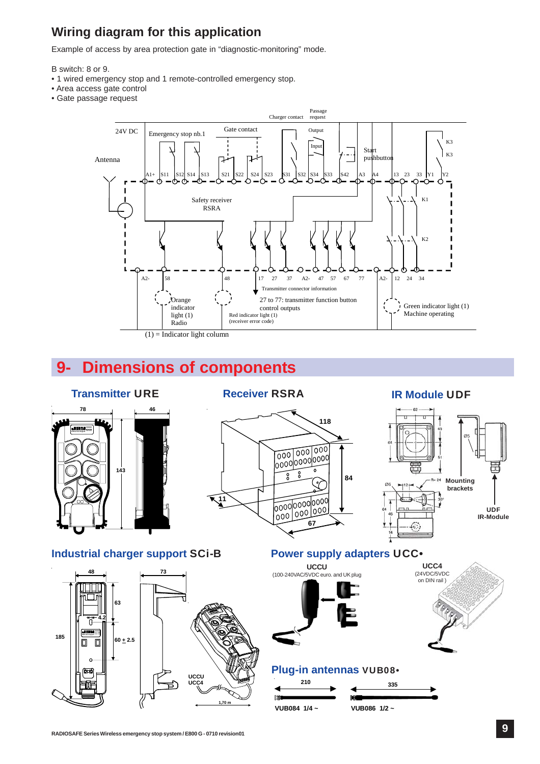### **Wiring diagram for this application**

Example of access by area protection gate in "diagnostic-monitoring" mode.

B switch: 8 or 9.

- 1 wired emergency stop and 1 remote-controlled emergency stop.
- Area access gate control
- Gate passage request



# **9- Dimensions of components**

# **78 46**



### **Transmitter** URE **Receiver** RSRA **IR Module** UDF





**Industrial charger support** SCi-B



### **Power supply adapters UCC** $\cdot$





### **Plug-in antennas** VUB08•

| 210          | 335            |
|--------------|----------------|
| lπ           | F              |
| VUB084 1/4 ~ | VUB086 $1/2$ ~ |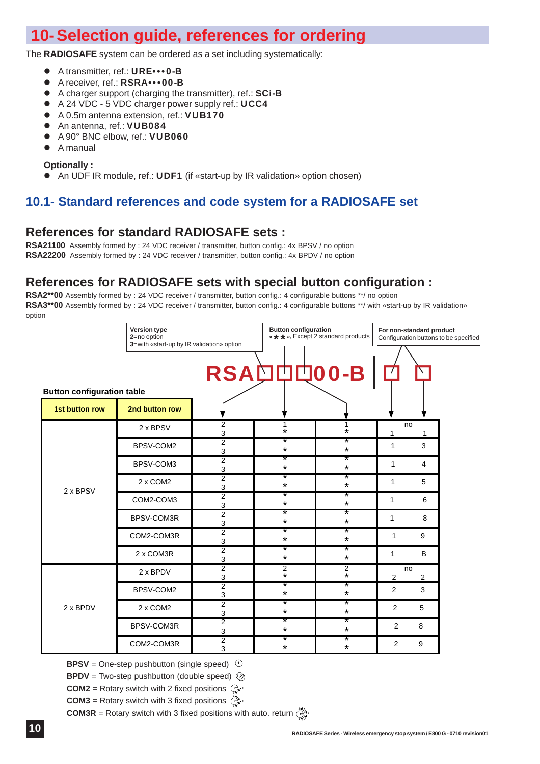## **10-Selection guide, references for ordering**

The **RADIOSAFE** system can be ordered as a set including systematically:

- A transmitter, ref.: URE•••0-B
- A receiver, ref.: RSRA•••00-B
- A charger support (charging the transmitter), ref.: SCi-B
- A 24 VDC 5 VDC charger power supply ref.: UCC4
- A 0.5m antenna extension, ref.: VUB170
- An antenna, ref.: VUB084
- A 90° BNC elbow, ref.: VUB060
- A manual

### **Optionally :**

An UDF IR module, ref.: UDF1 (if «start-up by IR validation» option chosen)

### **10.1- Standard references and code system for a RADIOSAFE set**

### **References for standard RADIOSAFE sets :**

**RSA21100** Assembly formed by : 24 VDC receiver / transmitter, button config.: 4x BPSV / no option **RSA22200** Assembly formed by : 24 VDC receiver / transmitter, button config.: 4x BPDV / no option

### **References for RADIOSAFE sets with special button configuration :**

**RSA2\*\*00** Assembly formed by : 24 VDC receiver / transmitter, button config.: 4 configurable buttons \*\*/ no option RSA3\*\*00 Assembly formed by : 24 VDC receiver / transmitter, button config.: 4 configurable buttons \*\*/ with «start-up by IR validation» option



**BPSV** = One-step pushbutton (single speed) <sup>(1</sup>

**BPDV** = Two-step pushbutton (double speed)  $\overline{Q}$ 

**COM2** = Rotary switch with 2 fixed positions  $\bigcirc$ .

**COM3** = Rotary switch with 3 fixed positions  $\hat{\mathbb{R}}$ **1**

**COM3R** = Rotary switch with 3 fixed positions with auto. return  $\hat{\Theta}$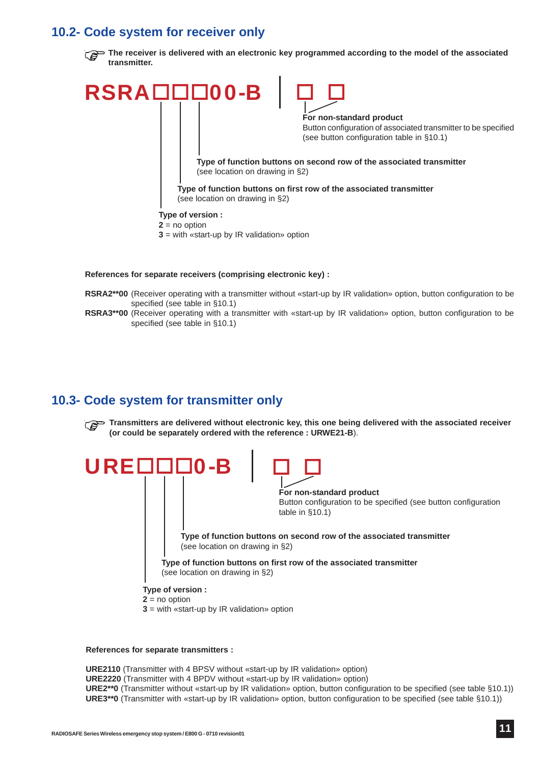### **10.2- Code system for receiver only**



#### **References for separate receivers (comprising electronic key) :**

- **RSRA2\*\*00** (Receiver operating with a transmitter without «start-up by IR validation» option, button configuration to be specified (see table in §10.1)
- **RSRA3\*\*00** (Receiver operating with a transmitter with «start-up by IR validation» option, button configuration to be specified (see table in §10.1)

### **10.3- Code system for transmitter only**

**Transmitters are delivered without electronic key, this one being delivered with the associated receiver (or could be separately ordered with the reference : URWE21-B**).



#### **References for separate transmitters :**

**URE2110** (Transmitter with 4 BPSV without «start-up by IR validation» option) **URE2220** (Transmitter with 4 BPDV without «start-up by IR validation» option) **URE2\*\*0** (Transmitter without «start-up by IR validation» option, button configuration to be specified (see table §10.1)) **URE3\*\*0** (Transmitter with «start-up by IR validation» option, button configuration to be specified (see table §10.1))